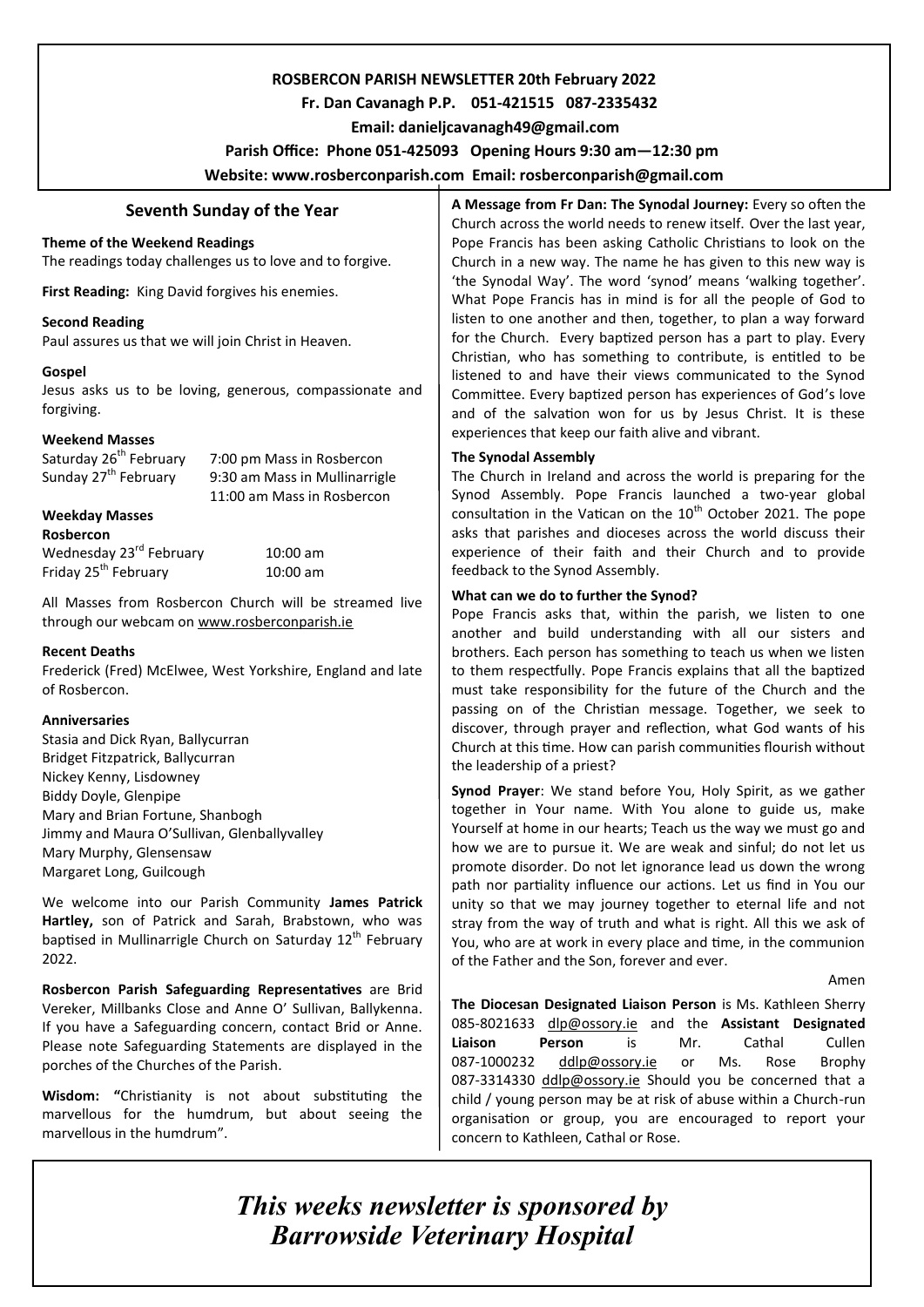### **ROSBERCON PARISH NEWSLETTER 20th February 2022**

# **Fr. Dan Cavanagh P.P. 051-421515 087-2335432**

 **Email: danieljcavanagh49@gmail.com**

### **Parish Office: Phone 051-425093****Opening Hours 9:30 am—12:30 pm**

**Website: www.rosberconparish.com Email: rosberconparish@gmail.com**

## **Seventh Sunday of the Year**

### **Theme of the Weekend Readings**

The readings today challenges us to love and to forgive.

**First Reading:** King David forgives his enemies.

### **Second Reading**

Paul assures us that we will join Christ in Heaven.

#### **Gospel**

Jesus asks us to be loving, generous, compassionate and forgiving.

### **Weekend Masses**

Saturday 26<sup>th</sup> February 7:00 pm Mass in Rosbercon<br>Sunday 27<sup>th</sup> February 9:30 am Mass in Mullinarrig 9:30 am Mass in Mullinarrigle 11:00 am Mass in Rosbercon

### **Weekday Masses**

**Rosbercon** Wednesday 23<sup>rd</sup> February 10:00 am Friday 25<sup>th</sup> February 10:00 am

All Masses from Rosbercon Church will be streamed live through our webcam on [www.rosberconparish.ie](http://www.rosberconparish.ie/)

### **Recent Deaths**

Frederick (Fred) McElwee, West Yorkshire, England and late of Rosbercon.

### **Anniversaries**

Stasia and Dick Ryan, Ballycurran Bridget Fitzpatrick, Ballycurran Nickey Kenny, Lisdowney Biddy Doyle, Glenpipe Mary and Brian Fortune, Shanbogh Jimmy and Maura O'Sullivan, Glenballyvalley Mary Murphy, Glensensaw Margaret Long, Guilcough

We welcome into our Parish Community **James Patrick Hartley,** son of Patrick and Sarah, Brabstown, who was baptised in Mullinarrigle Church on Saturday 12<sup>th</sup> February 2022.

**Rosbercon Parish Safeguarding Representatives** are Brid Vereker, Millbanks Close and Anne O' Sullivan, Ballykenna. If you have a Safeguarding concern, contact Brid or Anne. Please note Safeguarding Statements are displayed in the porches of the Churches of the Parish.

**Wisdom: "**Christianity is not about substituting the marvellous for the humdrum, but about seeing the marvellous in the humdrum".

**A Message from Fr Dan: The Synodal Journey:** Every so often the Church across the world needs to renew itself. Over the last year, Pope Francis has been asking Catholic Christians to look on the Church in a new way. The name he has given to this new way is 'the Synodal Way'. The word 'synod' means 'walking together'. What Pope Francis has in mind is for all the people of God to listen to one another and then, together, to plan a way forward for the Church. Every baptized person has a part to play. Every Christian, who has something to contribute, is entitled to be listened to and have their views communicated to the Synod Committee. Every baptized person has experiences of God's love and of the salvation won for us by Jesus Christ. It is these experiences that keep our faith alive and vibrant.

### **The Synodal Assembly**

The Church in Ireland and across the world is preparing for the Synod Assembly. Pope Francis launched a two-year global consultation in the Vatican on the  $10<sup>th</sup>$  October 2021. The pope asks that parishes and dioceses across the world discuss their experience of their faith and their Church and to provide feedback to the Synod Assembly.

#### **What can we do to further the Synod?**

Pope Francis asks that, within the parish, we listen to one another and build understanding with all our sisters and brothers. Each person has something to teach us when we listen to them respectfully. Pope Francis explains that all the baptized must take responsibility for the future of the Church and the passing on of the Christian message. Together, we seek to discover, through prayer and reflection, what God wants of his Church at this time. How can parish communities flourish without the leadership of a priest?

**Synod Prayer**: We stand before You, Holy Spirit, as we gather together in Your name. With You alone to guide us, make Yourself at home in our hearts; Teach us the way we must go and how we are to pursue it. We are weak and sinful; do not let us promote disorder. Do not let ignorance lead us down the wrong path nor partiality influence our actions. Let us find in You our unity so that we may journey together to eternal life and not stray from the way of truth and what is right. All this we ask of You, who are at work in every place and time, in the communion of the Father and the Son, forever and ever.

Amen

**The Diocesan Designated Liaison Person** is Ms. Kathleen Sherry 085-8021633 [dlp@ossory.ie](mailto:dlp@ossory.ie) and the **Assistant Designated Liaison Person** is Mr. Cathal Cullen 087-1000232 [ddlp@ossory.ie](mailto:ddlp@ossory.ie) or Ms. Rose Brophy 087-3314330 [ddlp@ossory.ie](mailto:ddlp@ossory.ie) Should you be concerned that a child / young person may be at risk of abuse within a Church-run organisation or group, you are encouraged to report your concern to Kathleen, Cathal or Rose.

*This weeks newsletter is sponsored by Barrowside Veterinary Hospital*